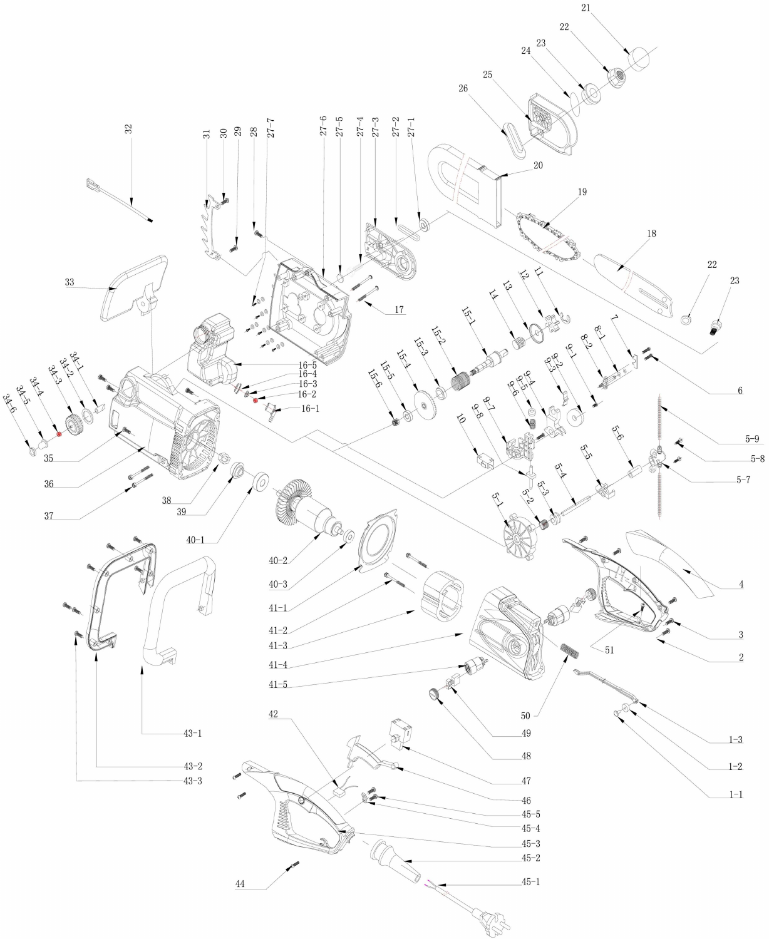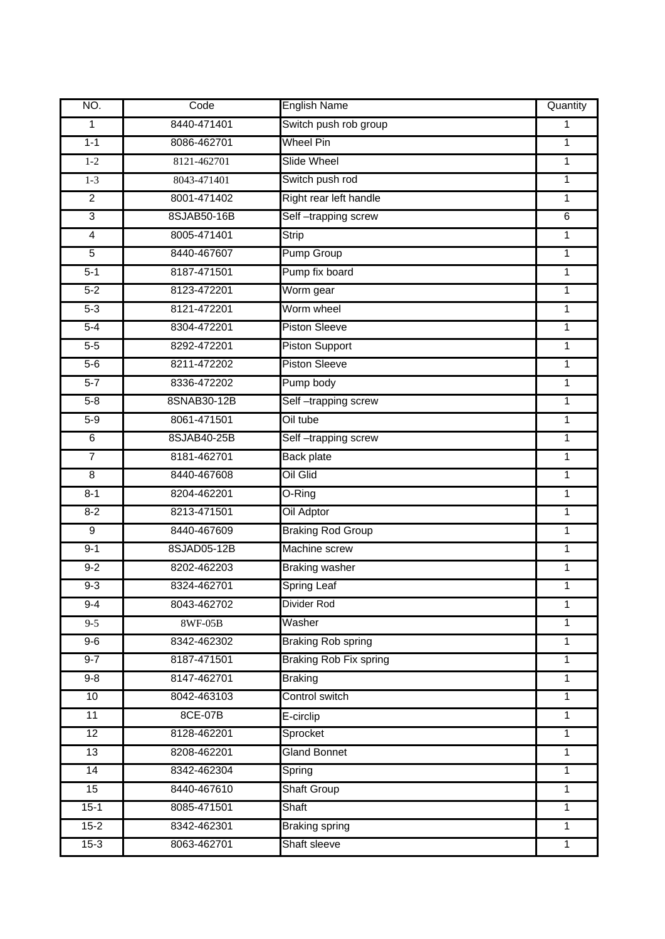| NO.                     | Code        | <b>English Name</b>           | Quantity       |
|-------------------------|-------------|-------------------------------|----------------|
| $\mathbf{1}$            | 8440-471401 | Switch push rob group         | $\mathbf{1}$   |
| $1 - 1$                 | 8086-462701 | <b>Wheel Pin</b>              | 1              |
| $1-2$                   | 8121-462701 | <b>Slide Wheel</b>            | 1              |
| $1 - 3$                 | 8043-471401 | Switch push rod               | 1              |
| $\overline{2}$          | 8001-471402 | Right rear left handle        | 1              |
| $\overline{3}$          | 8SJAB50-16B | Self-trapping screw           | 6              |
| $\overline{4}$          | 8005-471401 | <b>Strip</b>                  | $\mathbf{1}$   |
| $\overline{5}$          | 8440-467607 | <b>Pump Group</b>             | $\mathbf{1}$   |
| $5 - 1$                 | 8187-471501 | Pump fix board                | $\mathbf{1}$   |
| $5 - 2$                 | 8123-472201 | Worm gear                     | $\overline{1}$ |
| $5 - 3$                 | 8121-472201 | Worm wheel                    | $\mathbf{1}$   |
| $5-4$                   | 8304-472201 | <b>Piston Sleeve</b>          | $\mathbf{1}$   |
| $5-5$                   | 8292-472201 | <b>Piston Support</b>         | 1              |
| $5-6$                   | 8211-472202 | <b>Piston Sleeve</b>          | 1              |
| $5 - 7$                 | 8336-472202 | Pump body                     | 1              |
| $5 - 8$                 | 8SNAB30-12B | Self-trapping screw           | 1              |
| $5-9$                   | 8061-471501 | Oil tube                      | 1              |
| $\overline{6}$          | 8SJAB40-25B | Self-trapping screw           | $\mathbf{1}$   |
| $\overline{7}$          | 8181-462701 | <b>Back plate</b>             | $\mathbf{1}$   |
| $\overline{\mathbf{8}}$ | 8440-467608 | Oil Glid                      | $\overline{1}$ |
| $8 - 1$                 | 8204-462201 | O-Ring                        | $\mathbf 1$    |
| $8 - 2$                 | 8213-471501 | Oil Adptor                    | $\overline{1}$ |
| $\overline{9}$          | 8440-467609 | <b>Braking Rod Group</b>      | 1              |
| $9 - 1$                 | 8SJAD05-12B | Machine screw                 | $\mathbf{1}$   |
| $9 - 2$                 | 8202-462203 | <b>Braking washer</b>         | $\mathbf{1}$   |
| $9 - 3$                 | 8324-462701 | <b>Spring Leaf</b>            | 1              |
| $9-4$                   | 8043-462702 | Divider Rod                   | 1              |
| $9 - 5$                 | 8WF-05B     | Washer                        | 1              |
| $9-6$                   | 8342-462302 | <b>Braking Rob spring</b>     | $\mathbf{1}$   |
| $9 - 7$                 | 8187-471501 | <b>Braking Rob Fix spring</b> | 1              |
| $9 - 8$                 | 8147-462701 | <b>Braking</b>                | $\mathbf{1}$   |
| 10                      | 8042-463103 | Control switch                | $\overline{1}$ |
| $\overline{11}$         | 8CE-07B     | E-circlip                     | $\mathbf{1}$   |
| 12                      | 8128-462201 | Sprocket                      | $\mathbf{1}$   |
| 13                      | 8208-462201 | <b>Gland Bonnet</b>           | $\mathbf{1}$   |
| 14                      | 8342-462304 | Spring                        | $\mathbf{1}$   |
| 15                      | 8440-467610 | Shaft Group                   | 1              |
| $15 - 1$                | 8085-471501 | Shaft                         | 1              |
| $15 - 2$                | 8342-462301 | <b>Braking spring</b>         | $\mathbf{1}$   |
| $15 - 3$                | 8063-462701 | Shaft sleeve                  | $\mathbf{1}$   |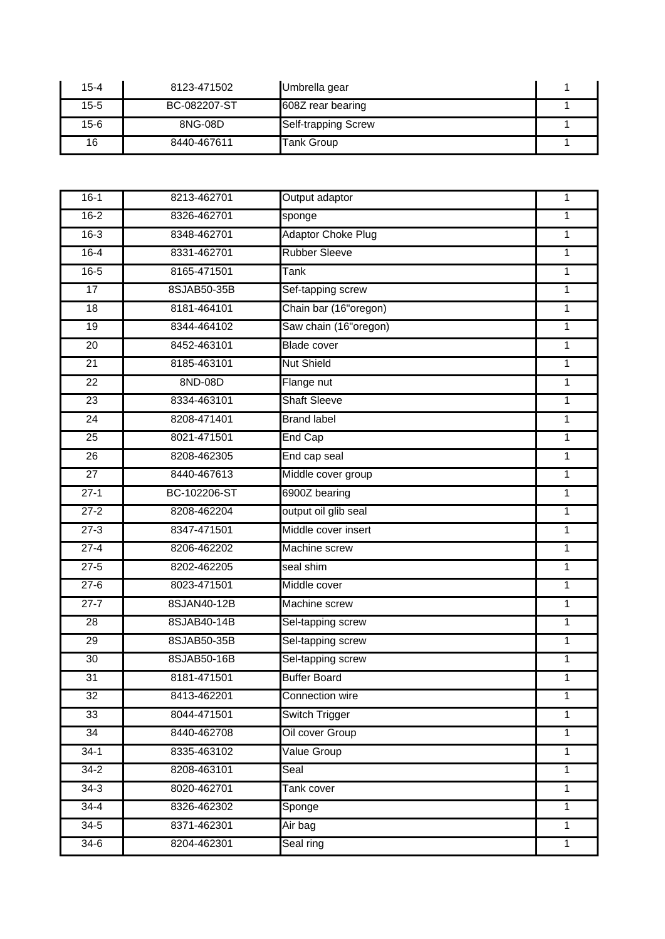| $15 - 4$ | 8123-471502  | Umbrella gear              |  |
|----------|--------------|----------------------------|--|
| $15 - 5$ | BC-082207-ST | 608Z rear bearing          |  |
| $15 - 6$ | 8NG-08D      | <b>Self-trapping Screw</b> |  |
| 16       | 8440-467611  | <b>Tank Group</b>          |  |

| $16-1$          | 8213-462701  | <b>Output adaptor</b>     | 1              |
|-----------------|--------------|---------------------------|----------------|
| $16 - 2$        | 8326-462701  | sponge                    | $\mathbf{1}$   |
| $16 - 3$        | 8348-462701  | <b>Adaptor Choke Plug</b> | $\overline{1}$ |
| $16 - 4$        | 8331-462701  | <b>Rubber Sleeve</b>      | $\mathbf{1}$   |
| $16 - 5$        | 8165-471501  | <b>Tank</b>               | $\overline{1}$ |
| 17              | 8SJAB50-35B  | Sef-tapping screw         | $\mathbf{1}$   |
| 18              | 8181-464101  | Chain bar (16"oregon)     | $\overline{1}$ |
| $\overline{19}$ | 8344-464102  | Saw chain (16"oregon)     | $\mathbf 1$    |
| $\overline{20}$ | 8452-463101  | <b>Blade cover</b>        | $\mathbf{1}$   |
| 21              | 8185-463101  | <b>Nut Shield</b>         | $\overline{1}$ |
| $\overline{22}$ | 8ND-08D      | Flange nut                | $\mathbf{1}$   |
| $\overline{23}$ | 8334-463101  | <b>Shaft Sleeve</b>       | $\mathbf 1$    |
| 24              | 8208-471401  | <b>Brand label</b>        | 1              |
| $\overline{25}$ | 8021-471501  | End Cap                   | $\mathbf{1}$   |
| 26              | 8208-462305  | End cap seal              | $\mathbf{1}$   |
| $\overline{27}$ | 8440-467613  | Middle cover group        | $\mathbf{1}$   |
| $27 - 1$        | BC-102206-ST | 6900Z bearing             | $\mathbf{1}$   |
| $27-2$          | 8208-462204  | output oil glib seal      | 1              |
| $27-3$          | 8347-471501  | Middle cover insert       | $\mathbf{1}$   |
| $27-4$          | 8206-462202  | Machine screw             | $\mathbf{1}$   |
| $27-5$          | 8202-462205  | seal shim                 | 1              |
| $27-6$          | 8023-471501  | Middle cover              | 1              |
| $27 - 7$        | 8SJAN40-12B  | Machine screw             | 1              |
| $\overline{28}$ | 8SJAB40-14B  | Sel-tapping screw         | $\mathbf{1}$   |
| 29              | 8SJAB50-35B  | Sel-tapping screw         | 1              |
| $\overline{30}$ | 8SJAB50-16B  | Sel-tapping screw         | 1              |
| $\overline{31}$ | 8181-471501  | <b>Buffer Board</b>       | 1              |
| 32              | 8413-462201  | Connection wire           | 1              |
| 33              | 8044-471501  | Switch Trigger            | 1              |
| 34              | 8440-462708  | Oil cover Group           | $\mathbf 1$    |
| $34-1$          | 8335-463102  | Value Group               | $\mathbf{1}$   |
| $34 - 2$        | 8208-463101  | Seal                      | $\mathbf{1}$   |
| $34-3$          | 8020-462701  | Tank cover                | $\mathbf{1}$   |
| $34 - 4$        | 8326-462302  | Sponge                    | $\mathbf{1}$   |
| $34-5$          | 8371-462301  | Air bag                   | $\mathbf{1}$   |
| $34-6$          | 8204-462301  | Seal ring                 | $\mathbf{1}$   |